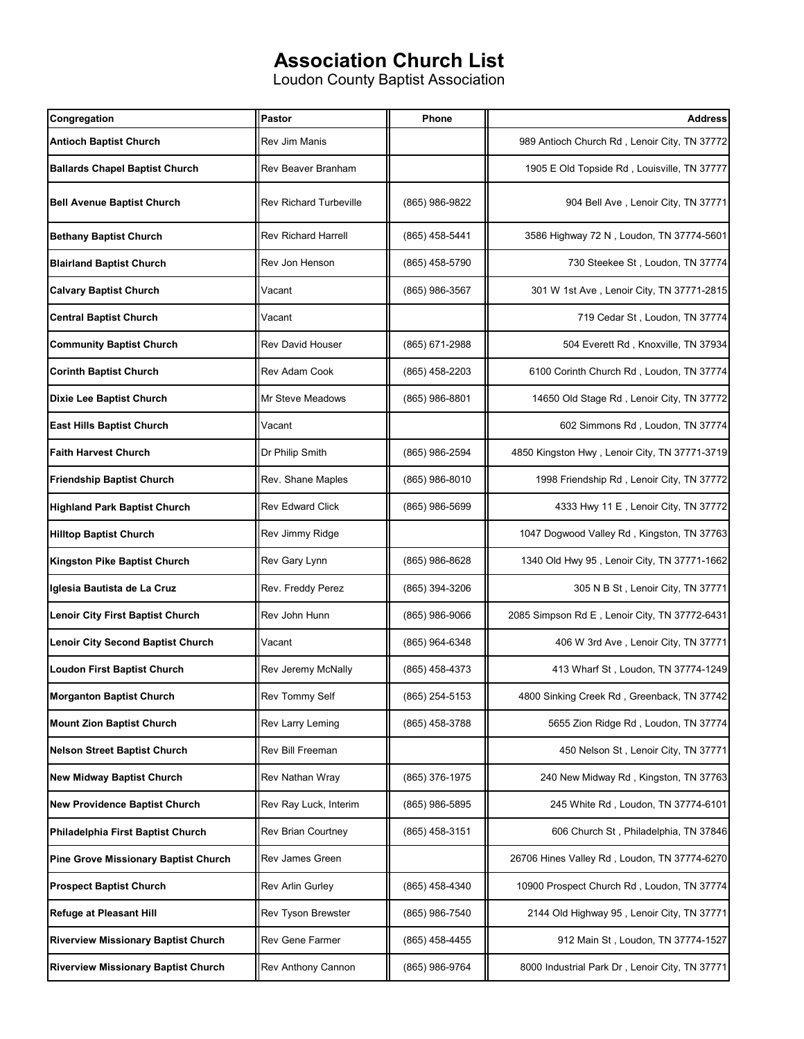## **Association Church List**

Loudon County Baptist Association

| Congregation                                | Pastor                        | Phone          | <b>Address</b>                                 |
|---------------------------------------------|-------------------------------|----------------|------------------------------------------------|
| <b>Antioch Baptist Church</b>               | <b>Rev Jim Manis</b>          |                | 989 Antioch Church Rd, Lenoir City, TN 37772   |
| <b>Ballards Chapel Baptist Church</b>       | Rev Beaver Branham            |                | 1905 E Old Topside Rd, Louisville, TN 37777    |
| <b>Bell Avenue Baptist Church</b>           | <b>Rev Richard Turbeville</b> | (865) 986-9822 | 904 Bell Ave, Lenoir City, TN 37771            |
| <b>Bethany Baptist Church</b>               | <b>Rev Richard Harrell</b>    | (865) 458-5441 | 3586 Highway 72 N, Loudon, TN 37774-5601       |
| <b>Blairland Baptist Church</b>             | Rev Jon Henson                | (865) 458-5790 | 730 Steekee St, Loudon, TN 37774               |
| <b>Calvary Baptist Church</b>               | Vacant                        | (865) 986-3567 | 301 W 1st Ave, Lenoir City, TN 37771-2815      |
| <b>Central Baptist Church</b>               | Vacant                        |                | 719 Cedar St, Loudon, TN 37774                 |
| <b>Community Baptist Church</b>             | <b>Rev David Houser</b>       | (865) 671-2988 | 504 Everett Rd, Knoxville, TN 37934            |
| <b>Corinth Baptist Church</b>               | Rev Adam Cook                 | (865) 458-2203 | 6100 Corinth Church Rd, Loudon, TN 37774       |
| <b>Dixie Lee Baptist Church</b>             | Mr Steve Meadows              | (865) 986-8801 | 14650 Old Stage Rd, Lenoir City, TN 37772      |
| <b>East Hills Baptist Church</b>            | Vacant                        |                | 602 Simmons Rd, Loudon, TN 37774               |
| <b>Faith Harvest Church</b>                 | Dr Philip Smith               | (865) 986-2594 | 4850 Kingston Hwy, Lenoir City, TN 37771-3719  |
| <b>Friendship Baptist Church</b>            | Rev. Shane Maples             | (865) 986-8010 | 1998 Friendship Rd, Lenoir City, TN 37772      |
| <b>Highland Park Baptist Church</b>         | <b>Rev Edward Click</b>       | (865) 986-5699 | 4333 Hwy 11 E, Lenoir City, TN 37772           |
| <b>Hilltop Baptist Church</b>               | Rev Jimmy Ridge               |                | 1047 Dogwood Valley Rd, Kingston, TN 37763     |
| Kingston Pike Baptist Church                | Rev Gary Lynn                 | (865) 986-8628 | 1340 Old Hwy 95, Lenoir City, TN 37771-1662    |
| Iglesia Bautista de La Cruz                 | Rev. Freddy Perez             | (865) 394-3206 | 305 N B St, Lenoir City, TN 37771              |
| Lenoir City First Baptist Church            | Rev John Hunn                 | (865) 986-9066 | 2085 Simpson Rd E, Lenoir City, TN 37772-6431  |
| <b>Lenoir City Second Baptist Church</b>    | Vacant                        | (865) 964-6348 | 406 W 3rd Ave, Lenoir City, TN 37771           |
| <b>Loudon First Baptist Church</b>          | Rev Jeremy McNally            | (865) 458-4373 | 413 Wharf St, Loudon, TN 37774-1249            |
| <b>Morganton Baptist Church</b>             | <b>Rev Tommy Self</b>         | (865) 254-5153 | 4800 Sinking Creek Rd , Greenback, TN 37742    |
| <b>Mount Zion Baptist Church</b>            | Rev Larry Leming              | (865) 458-3788 | 5655 Zion Ridge Rd, Loudon, TN 37774           |
| <b>Nelson Street Baptist Church</b>         | Rev Bill Freeman              |                | 450 Nelson St, Lenoir City, TN 37771           |
| <b>New Midway Baptist Church</b>            | Rev Nathan Wray               | (865) 376-1975 | 240 New Midway Rd, Kingston, TN 37763          |
| <b>New Providence Baptist Church</b>        | Rev Ray Luck, Interim         | (865) 986-5895 | 245 White Rd, Loudon, TN 37774-6101            |
| Philadelphia First Baptist Church           | Rev Brian Courtney            | (865) 458-3151 | 606 Church St, Philadelphia, TN 37846          |
| <b>Pine Grove Missionary Baptist Church</b> | Rev James Green               |                | 26706 Hines Valley Rd, Loudon, TN 37774-6270   |
| <b>Prospect Baptist Church</b>              | Rev Arlin Gurley              | (865) 458-4340 | 10900 Prospect Church Rd, Loudon, TN 37774     |
| <b>Refuge at Pleasant Hill</b>              | Rev Tyson Brewster            | (865) 986-7540 | 2144 Old Highway 95, Lenoir City, TN 37771     |
| <b>Riverview Missionary Baptist Church</b>  | Rev Gene Farmer               | (865) 458-4455 | 912 Main St, Loudon, TN 37774-1527             |
| <b>Riverview Missionary Baptist Church</b>  | Rev Anthony Cannon            | (865) 986-9764 | 8000 Industrial Park Dr, Lenoir City, TN 37771 |